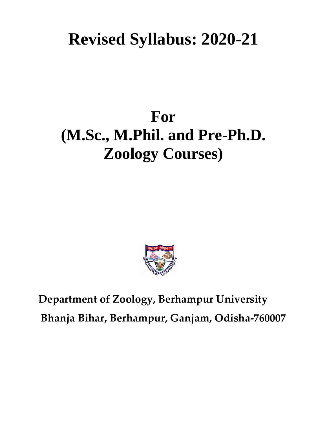# **Revised Syllabus: 2020-21**

# **For (M.Sc., M.Phil. and Pre-Ph.D. Zoology Courses)**



**Department of Zoology, Berhampur University Bhanja Bihar, Berhampur, Ganjam, Odisha-760007**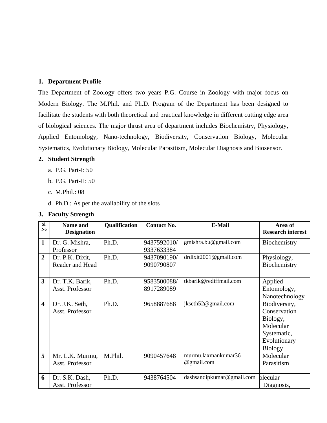#### **1. Department Profile**

The Department of Zoology offers two years P.G. Course in Zoology with major focus on Modern Biology. The M.Phil. and Ph.D. Program of the Department has been designed to facilitate the students with both theoretical and practical knowledge in different cutting edge area of biological sciences. The major thrust area of department includes Biochemistry, Physiology, Applied Entomology, Nano-technology, Biodiversity, Conservation Biology, Molecular Systematics, Evolutionary Biology, Molecular Parasitism, Molecular Diagnosis and Biosensor.

#### **2. Student Strength**

- a. P.G. Part-I: 50
- b. P.G. Part-II: 50
- c. M.Phil.: 08
- d. Ph.D.: As per the availability of the slots

#### **3. Faculty Strength**

| SI.<br>N <sub>0</sub>   | <b>Name and</b><br><b>Designation</b> | Qualification | <b>Contact No.</b> | <b>E-Mail</b>             | Area of<br><b>Research interest</b> |
|-------------------------|---------------------------------------|---------------|--------------------|---------------------------|-------------------------------------|
| 1                       | Dr. G. Mishra,                        | Ph.D.         | 9437592010/        | gmishra.bu@gmail.com      | Biochemistry                        |
|                         | Professor                             |               | 9337633384         |                           |                                     |
| $\overline{2}$          | Dr. P.K. Dixit,                       | Ph.D.         | 9437090190/        | drdixit $2001@$ gmail.com | Physiology,                         |
|                         | Reader and Head                       |               | 9090790807         |                           | Biochemistry                        |
|                         |                                       |               |                    |                           |                                     |
| 3                       | Dr. T.K. Barik,                       | Ph.D.         | 9583500088/        | tkbarik@rediffmail.com    | Applied                             |
|                         | Asst. Professor                       |               | 8917289089         |                           | Entomology,                         |
|                         |                                       |               |                    |                           | Nanotechnology                      |
| $\overline{\mathbf{4}}$ | Dr. J.K. Seth,                        | Ph.D.         | 9658887688         | jkseth52@gmail.com        | Biodiversity,                       |
|                         | Asst. Professor                       |               |                    |                           | Conservation                        |
|                         |                                       |               |                    |                           | Biology,                            |
|                         |                                       |               |                    |                           | Molecular                           |
|                         |                                       |               |                    |                           | Systematic,                         |
|                         |                                       |               |                    |                           | Evolutionary                        |
|                         |                                       |               |                    |                           | <b>Biology</b>                      |
| 5                       | Mr. L.K. Murmu,                       | M.Phil.       | 9090457648         | murmu.laxmankumar36       | Molecular                           |
|                         | Asst. Professor                       |               |                    | @gmail.com                | Parasitism                          |
|                         |                                       |               |                    |                           |                                     |
| 6                       | Dr. S.K. Dash,                        | Ph.D.         | 9438764504         | dashsandipkumar@gmail.com | olecular                            |
|                         | Asst. Professor                       |               |                    |                           | Diagnosis,                          |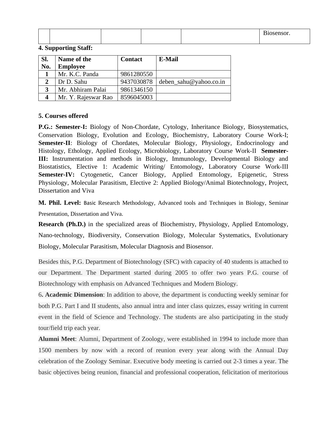|  |  | $\mathbf{r}$<br>Biosensor. |
|--|--|----------------------------|
|  |  |                            |

| Sl. | Name of the         | <b>Contact</b> | E-Mail                 |
|-----|---------------------|----------------|------------------------|
| No. | <b>Employee</b>     |                |                        |
|     | Mr. K.C. Panda      | 9861280550     |                        |
|     | Dr D. Sahu          | 9437030878     | deben sahu@yahoo.co.in |
| 3   | Mr. Abhiram Palai   | 9861346150     |                        |
|     | Mr. Y. Rajeswar Rao | 8596045003     |                        |

#### **4. Supporting Staff:**

#### **5. Courses offered**

**P.G.: Semester-I:** Biology of Non-Chordate, Cytology, Inheritance Biology, Biosystematics, Conservation Biology, Evolution and Ecology, Biochemistry, Laboratory Course Work-I; **Semester-II**: Biology of Chordates, Molecular Biology, Physiology, Endocrinology and Histology, Ethology, Applied Ecology, Microbiology, Laboratory Course Work-II **Semester-III:** Instrumentation and methods in Biology, Immunology, Developmental Biology and Biostatistics, Elective 1: Academic Writing/ Entomology, Laboratory Course Work-III **Semester-IV:** Cytogenetic, Cancer Biology, Applied Entomology, Epigenetic, Stress Physiology, Molecular Parasitism, Elective 2: Applied Biology/Animal Biotechnology, Project, Dissertation and Viva

**M. Phil. Level:** Basic Research Methodology, Advanced tools and Techniques in Biology, Seminar Presentation, Dissertation and Viva.

**Research (Ph.D.)** in the specialized areas of Biochemistry, Physiology, Applied Entomology, Nano-technology, Biodiversity, Conservation Biology, Molecular Systematics, Evolutionary Biology, Molecular Parasitism, Molecular Diagnosis and Biosensor.

Besides this, P.G. Department of Biotechnology (SFC) with capacity of 40 students is attached to our Department. The Department started during 2005 to offer two years P.G. course of Biotechnology with emphasis on Advanced Techniques and Modern Biology.

6**. Academic Dimension**: In addition to above, the department is conducting weekly seminar for both P.G. Part I and II students, also annual intra and inter class quizzes, essay writing in current event in the field of Science and Technology. The students are also participating in the study tour/field trip each year.

**Alumni Meet**: Alumni, Department of Zoology, were established in 1994 to include more than 1500 members by now with a record of reunion every year along with the Annual Day celebration of the Zoology Seminar. Executive body meeting is carried out 2-3 times a year. The basic objectives being reunion, financial and professional cooperation, felicitation of meritorious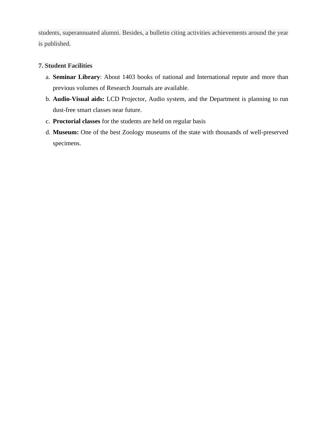students, superannuated alumni. Besides, a bulletin citing activities achievements around the year is published.

#### **7. Student Facilities**

- a. **Seminar Library**: About 1403 books of national and International repute and more than previous volumes of Research Journals are available.
- b. **Audio-Visual aids:** LCD Projector, Audio system, and the Department is planning to run dust-free smart classes near future.
- c. **Proctorial classes** for the students are held on regular basis
- d. **Museum:** One of the best Zoology museums of the state with thousands of well-preserved specimens.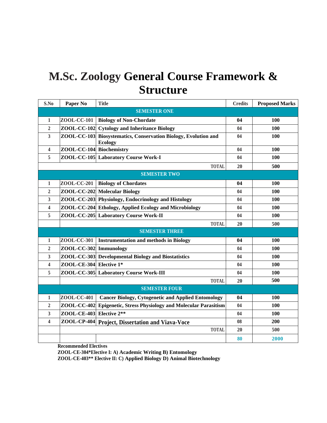# **M.Sc. Zoology General Course Framework & Structure**

| S.No                    | Paper No                 | <b>Title</b>                                                                                   |    | <b>Proposed Marks</b> |  |  |
|-------------------------|--------------------------|------------------------------------------------------------------------------------------------|----|-----------------------|--|--|
| <b>SEMESTER ONE</b>     |                          |                                                                                                |    |                       |  |  |
| 1                       | ZOOL-CC-101              | <b>Biology of Non-Chordate</b>                                                                 | 04 | 100                   |  |  |
| $\boldsymbol{2}$        |                          | ZOOL-CC-102 Cytology and Inheritance Biology                                                   | 04 | 100                   |  |  |
| $\overline{\mathbf{3}}$ |                          | ZOOL-CC-103 Biosystematics, Conservation Biology, Evolution and<br>04<br>100<br><b>Ecology</b> |    |                       |  |  |
| $\overline{\mathbf{4}}$ | ZOOL-CC-104 Biochemistry |                                                                                                | 04 | 100                   |  |  |
| 5                       |                          | ZOOL-CC-105 Laboratory Course Work-I                                                           | 04 | 100                   |  |  |
|                         |                          | <b>TOTAL</b>                                                                                   | 20 | 500                   |  |  |
|                         |                          | <b>SEMESTER TWO</b>                                                                            |    |                       |  |  |
| 1                       | ZOOL-CC-201              | <b>Biology of Chordates</b>                                                                    | 04 | 100                   |  |  |
| $\overline{2}$          |                          | ZOOL-CC-202 Molecular Biology                                                                  | 04 | 100                   |  |  |
| 3                       |                          | ZOOL-CC-203 Physiology, Endocrinology and Histology                                            | 04 | 100                   |  |  |
| 4                       |                          | ZOOL-CC-204 Ethology, Applied Ecology and Microbiology                                         | 04 | 100                   |  |  |
| 5                       |                          | ZOOL-CC-205 Laboratory Course Work-II<br>04                                                    |    | 100                   |  |  |
|                         |                          | <b>TOTAL</b>                                                                                   | 20 | 500                   |  |  |
|                         | <b>SEMESTER THREE</b>    |                                                                                                |    |                       |  |  |
| 1                       | ZOOL-CC-301              | <b>Instrumentation and methods in Biology</b>                                                  | 04 | <b>100</b>            |  |  |
| $\mathbf{2}$            | ZOOL-CC-302 Immunology   |                                                                                                | 04 | 100                   |  |  |
| 3                       |                          | ZOOL-CC-303 Developmental Biology and Biostatistics                                            | 04 | <b>100</b>            |  |  |
| 4                       | ZOOL-CE-304 Elective 1*  |                                                                                                | 04 | 100                   |  |  |
| 5                       |                          | ZOOL-CC-305 Laboratory Course Work-III                                                         | 04 | 100                   |  |  |
|                         |                          | <b>TOTAL</b>                                                                                   | 20 | 500                   |  |  |
|                         | <b>SEMESTER FOUR</b>     |                                                                                                |    |                       |  |  |
| 1                       | ZOOL-CC-401              | <b>Cancer Biology, Cytogenetic and Applied Entomology</b>                                      | 04 | 100                   |  |  |
| $\overline{2}$          | <b>ZOOL-CC-402</b>       | <b>Epigenetic, Stress Physiology and Molecular Parasitism</b>                                  | 04 | 100                   |  |  |
| $\overline{3}$          | ZOOL-CE-403 Elective 2** |                                                                                                | 04 | 100                   |  |  |
| 4                       | ZOOL-CP-404              | <b>Project, Dissertation and Viava-Voce</b>                                                    | 08 | 200                   |  |  |
|                         |                          | <b>TOTAL</b>                                                                                   | 20 | 500                   |  |  |
|                         |                          |                                                                                                | 80 | 2000                  |  |  |

**Recommended Electives**

**ZOOL-CE-304\*Elective I: A) Academic Writing B) Entomology**

**ZOOL-CE-403\*\* Elective II: C) Applied Biology D) Animal Biotechnology**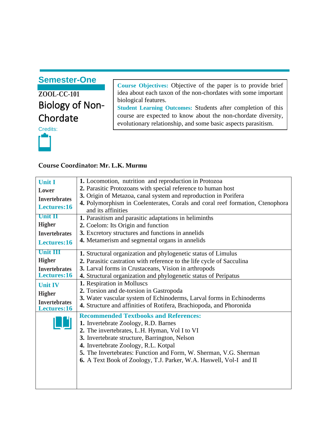# **ZOOL-CC-101** Biology of Non-Chordate

Credits:



**Course Objectives:** Objective of the paper is to provide brief idea about each taxon of the non-chordates with some important biological features.

**Student Learning Outcomes:** Students after completion of this course are expected to know about the non-chordate diversity, evolutionary relationship, and some basic aspects parasitism.

#### **Course Coordinator: Mr. L.K. Murmu**

| <b>Unit I</b>                       | 1. Locomotion, nutrition and reproduction in Protozoa                         |
|-------------------------------------|-------------------------------------------------------------------------------|
| Lower                               | 2. Parasitic Protozoans with special reference to human host                  |
| <b>Invertebrates</b>                | 3. Origin of Metazoa, canal system and reproduction in Porifera               |
|                                     | 4. Polymorphism in Coelenterates, Corals and coral reef formation, Ctenophora |
| Lectures:16                         | and its affinities                                                            |
| Unit II                             | 1. Parasitism and parasitic adaptations in heliminths                         |
| <b>Higher</b>                       | 2. Coelom: Its Origin and function                                            |
| <b>Invertebrates</b>                | 3. Excretory structures and functions in annelids                             |
| Lectures:16                         | 4. Metamerism and segmental organs in annelids                                |
|                                     |                                                                               |
| <b>Unit III</b>                     | 1. Structural organization and phylogenetic status of Limulus                 |
| <b>Higher</b>                       | 2. Parasitic castration with reference to the life cycle of Sacculina         |
| <b>Invertebrates</b>                | 3. Larval forms in Crustaceans, Vision in arthropods                          |
| Lectures:16                         | 4. Structural organization and phylogenetic status of Peripatus               |
| <b>Unit IV</b>                      | 1. Respiration in Molluscs                                                    |
| <b>Higher</b>                       | 2. Torsion and de-torsion in Gastropoda                                       |
|                                     | 3. Water vascular system of Echinoderms, Larval forms in Echinoderms          |
| <b>Invertebrates</b><br>Lectures:16 | 4. Structure and affinities of Rotifera, Brachiopoda, and Phoronida           |
|                                     | <b>Recommended Textbooks and References:</b>                                  |
|                                     | 1. Invertebrate Zoology, R.D. Barnes                                          |
|                                     |                                                                               |
|                                     | 2. The invertebrates, L.H. Hyman, Vol I to VI                                 |
|                                     | 3. Invertebrate structure, Barrington, Nelson                                 |
|                                     | 4. Invertebrate Zoology, R.L. Kotpal                                          |
|                                     | 5. The Invertebrates: Function and Form, W. Sherman, V.G. Sherman             |
|                                     | 6. A Text Book of Zoology, T.J. Parker, W.A. Haswell, Vol-I and II            |
|                                     |                                                                               |
|                                     |                                                                               |
|                                     |                                                                               |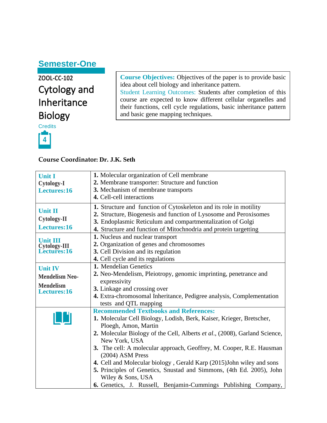**ZOOL-CC-102** Cytology and Inheritance Biology

**Credits 4**

**Course Objectives:** Objectives of the paper is to provide basic idea about cell biology and inheritance pattern. Student Learning Outcomes: Students after completion of this course are expected to know different cellular organelles and their functions, cell cycle regulations, basic inheritance pattern and basic gene mapping techniques.

#### **Course Coordinator: Dr. J.K. Seth**

| <b>Unit I</b>                                       | 1. Molecular organization of Cell membrane                                                                                                                                                                                                                                |
|-----------------------------------------------------|---------------------------------------------------------------------------------------------------------------------------------------------------------------------------------------------------------------------------------------------------------------------------|
| <b>Cytology-I</b>                                   | 2. Membrane transporter: Structure and function                                                                                                                                                                                                                           |
| Lectures:16                                         | 3. Mechanism of membrane transports                                                                                                                                                                                                                                       |
|                                                     | 4. Cell-cell interactions                                                                                                                                                                                                                                                 |
| <b>Unit II</b><br><b>Cytology-II</b><br>Lectures:16 | 1. Structure and function of Cytoskeleton and its role in motility<br>2. Structure, Biogenesis and function of Lysosome and Peroxisomes<br>3. Endoplasmic Reticulum and compartmentalization of Golgi<br>4. Structure and function of Mitochnodria and protein targetting |
|                                                     | 1. Nucleus and nuclear transport                                                                                                                                                                                                                                          |
| <b>Unit III</b>                                     | 2. Organization of genes and chromosomes                                                                                                                                                                                                                                  |
| <b>Cytology-III</b><br><b>Lectures:16</b>           | 3. Cell Division and its regulation                                                                                                                                                                                                                                       |
|                                                     | 4. Cell cycle and its regulations                                                                                                                                                                                                                                         |
| <b>Unit IV</b><br><b>Mendelism Neo-</b>             | 1. Mendelian Genetics<br>2. Neo-Mendelism, Pleiotropy, genomic imprinting, penetrance and<br>expressivity                                                                                                                                                                 |
| <b>Mendelism</b><br>Lectures:16                     | 3. Linkage and crossing over<br>4. Extra-chromosomal Inheritance, Pedigree analysis, Complementation<br>tests and QTL mapping                                                                                                                                             |
|                                                     | <b>Recommended Textbooks and References:</b><br>1. Molecular Cell Biology, Lodish, Berk, Kaiser, Krieger, Bretscher,                                                                                                                                                      |
|                                                     | Ploegh, Amon, Martin<br>2. Molecular Biology of the Cell, Alberts et al., (2008), Garland Science,<br>New York, USA<br>3. The cell: A molecular approach, Geoffrey, M. Cooper, R.E. Hausman<br>(2004) ASM Press                                                           |
|                                                     | 4. Cell and Molecular biology, Gerald Karp (2015) John wiley and sons<br>5. Principles of Genetics, Snustad and Simmons, (4th Ed. 2005), John<br>Wiley & Sons, USA<br>6. Genetics, J. Russell, Benjamin-Cummings Publishing Company,                                      |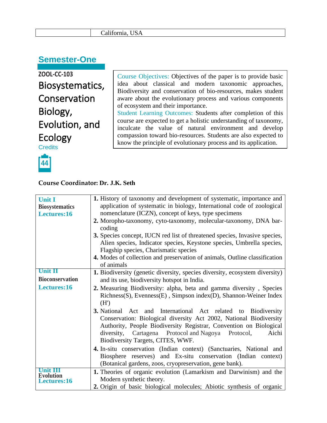| California, USA |  |
|-----------------|--|
|-----------------|--|

**ZOOL-CC-103** Biosystematics, Conservation Biology, Evolution, and Ecology **Credits** 

Course Objectives: Objectives of the paper is to provide basic idea about classical and modern taxonomic approaches, Biodiversity and conservation of bio-resources, makes student aware about the evolutionary process and various components of ecosystem and their importance. Student Learning Outcomes: Students after completion of this

course are expected to get a holistic understanding of taxonomy, inculcate the value of natural environment and develop compassion toward bio-resources. Students are also expected to know the principle of evolutionary process and its application.



#### **Course Coordinator: Dr. J.K. Seth**

| <b>Unit I</b><br><b>Biosystematics</b><br>Lectures:16                 | 1. History of taxonomy and development of systematic, importance and<br>application of systematic in biology, International code of zoological<br>nomenclature (ICZN), concept of keys, type specimens<br>2. Moropho-taxonomy, cyto-taxonomy, molecular-taxonomy, DNA bar-<br>coding<br>3. Species concept, IUCN red list of threatened species, Invasive species,<br>Alien species, Indicator species, Keystone species, Umbrella species,<br>Flagship species, Charismatic species<br>4. Modes of collection and preservation of animals, Outline classification<br>of animals |  |
|-----------------------------------------------------------------------|----------------------------------------------------------------------------------------------------------------------------------------------------------------------------------------------------------------------------------------------------------------------------------------------------------------------------------------------------------------------------------------------------------------------------------------------------------------------------------------------------------------------------------------------------------------------------------|--|
| Unit II                                                               | 1. Biodiversity (genetic diversity, species diversity, ecosystem diversity)                                                                                                                                                                                                                                                                                                                                                                                                                                                                                                      |  |
| <b>Bioconservation</b><br>and its use, biodiversity hotspot in India. |                                                                                                                                                                                                                                                                                                                                                                                                                                                                                                                                                                                  |  |
| Lectures:16                                                           | 2. Measuring Biodiversity: alpha, beta and gamma diversity, Species<br>Richness(S), Evenness(E), Simpson index(D), Shannon-Weiner Index<br>(H')                                                                                                                                                                                                                                                                                                                                                                                                                                  |  |
|                                                                       | 3. National Act and International Act related to Biodiversity<br>Conservation: Biological diversity Act 2002, National Biodiversity<br>Authority, People Biodiversity Registrar, Convention on Biological<br>diversity, Cartagena Protocol and Nagoya<br>Aichi<br>Protocol,<br>Biodiversity Targets, CITES, WWF.                                                                                                                                                                                                                                                                 |  |
|                                                                       | 4. In-situ conservation (Indian context) (Sanctuaries, National and<br>Biosphere reserves) and Ex-situ conservation (Indian context)<br>(Botanical gardens, zoos, cryopreservation, gene bank).                                                                                                                                                                                                                                                                                                                                                                                  |  |
| Unit III<br><b>Evolution</b>                                          | 1. Theories of organic evolution (Lamarkism and Darwinism) and the                                                                                                                                                                                                                                                                                                                                                                                                                                                                                                               |  |
| Lectures:16                                                           | Modern synthetic theory.<br>2. Origin of basic biological molecules; Abiotic synthesis of organic                                                                                                                                                                                                                                                                                                                                                                                                                                                                                |  |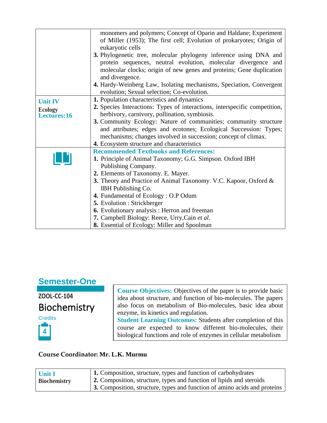|                                                 | monomers and polymers; Concept of Oparin and Haldane; Experiment<br>of Miller (1953); The first cell; Evolution of prokaryotes; Origin of<br>eukaryotic cells<br>3. Phylogenetic tree, molecular phylogeny inference using DNA and<br>protein sequences, neutral evolution, molecular divergence and<br>molecular clocks; origin of new genes and proteins; Gene duplication<br>and divergence.<br>4. Hardy-Weinberg Law, Isolating mechanisms, Speciation, Convergent<br>evolution; Sexual selection; Co-evolution. |
|-------------------------------------------------|----------------------------------------------------------------------------------------------------------------------------------------------------------------------------------------------------------------------------------------------------------------------------------------------------------------------------------------------------------------------------------------------------------------------------------------------------------------------------------------------------------------------|
| <b>Unit IV</b><br><b>Ecology</b><br>Lectures:16 | 1. Population characteristics and dynamics<br>2. Species Interactions: Types of interactions, interspecific competition,<br>herbivory, carnivory, pollination, symbiosis.<br>3. Community Ecology: Nature of communities; community structure<br>and attributes; edges and ecotones; Ecological Succession: Types;<br>mechanisms; changes involved in succession; concept of climax.<br>4. Ecosystem structure and characteristics                                                                                   |
| 画面                                              | <b>Recommended Textbooks and References:</b><br>1. Principle of Animal Taxonomy; G.G. Simpson. Oxford IBH<br>Publishing Company.<br>2. Elements of Taxonomy. E. Mayer.<br>3. Theory and Practice of Animal Taxonomy. V.C. Kapoor, Oxford &<br>IBH Publishing Co.<br>4. Fundamental of Ecology: O.P Odum<br>5. Evolution : Strickberger<br>6. Evolutionary analysis : Herron and freeman<br>7. Campbell Biology: Reece, Urry, Cain et al.<br>8. Essential of Ecology: Miller and Spoolman                             |

**ZOOL-CC-104** Biochemistry



**Course Objectives:** Objectives of the paper is to provide basic idea about structure, and function of bio-molecules. The papers also focus on metabolism of Bio-molecules, basic idea about enzyme, its kinetics and regulation.

**Student Learning Outcomes:** Students after completion of this course are expected to know different bio-molecules, their biological functions and role of enzymes in cellular metabolism

#### **Course Coordinator: Mr. L.K. Murmu**

| <b>Unit I</b>       | 1. Composition, structure, types and function of carbohydrates            |
|---------------------|---------------------------------------------------------------------------|
| <b>Biochemistry</b> | 2. Composition, structure, types and function of lipids and steroids      |
|                     | 3. Composition, structure, types and function of amino acids and proteins |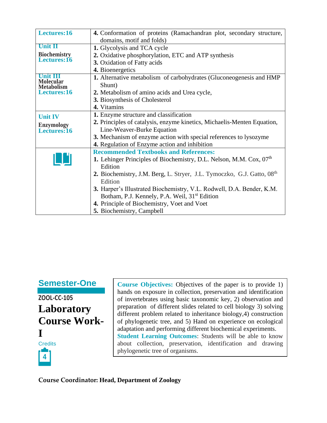| Lectures:16                           | 4. Conformation of proteins (Ramachandran plot, secondary structure,               |
|---------------------------------------|------------------------------------------------------------------------------------|
|                                       | domains, motif and folds)                                                          |
| <b>Unit II</b>                        | 1. Glycolysis and TCA cycle                                                        |
| Biochemistry                          | 2. Oxidative phosphorylation, ETC and ATP synthesis                                |
| Lectures:16                           | 3. Oxidation of Fatty acids                                                        |
|                                       | 4. Bioenergetics                                                                   |
| Unit III                              | 1. Alternative metabolism of carbohydrates (Gluconeogenesis and HMP                |
| <b>Molecular</b><br><b>Metabolism</b> | Shunt)                                                                             |
| Lectures:16                           | 2. Metabolism of amino acids and Urea cycle,                                       |
|                                       | 3. Biosynthesis of Cholesterol                                                     |
|                                       | 4. Vitamins                                                                        |
| <b>Unit IV</b>                        | 1. Enzyme structure and classification                                             |
| <b>Enzymology</b>                     | 2. Principles of catalysis, enzyme kinetics, Michaelis-Menten Equation,            |
| Lectures:16                           | Line-Weaver-Burke Equation                                                         |
|                                       | 3. Mechanism of enzyme action with special references to lysozyme                  |
|                                       | 4. Regulation of Enzyme action and inhibition                                      |
|                                       | <b>Recommended Textbooks and References:</b>                                       |
| 19H                                   | 1. Lehinger Principles of Biochemistry, D.L. Nelson, M.M. Cox, 07 <sup>th</sup>    |
|                                       | Edition                                                                            |
|                                       | 2. Biochemistry, J.M. Berg, L. Stryer, J.L. Tymoczko, G.J. Gatto, 08 <sup>th</sup> |
|                                       | Edition                                                                            |
|                                       | 3. Harper's Illustrated Biochemistry, V.L. Rodwell, D.A. Bender, K.M.              |
|                                       | Botham, P.J. Kennely, P.A. Weil, 31 <sup>st</sup> Edition                          |
|                                       | 4. Principle of Biochemistry, Voet and Voet                                        |
|                                       | 5. Biochemistry, Campbell                                                          |

**ZOOL-CC-105 Laboratory Course Work-I Credits 4**

**Course Objectives:** Objectives of the paper is to provide 1) hands on exposure in collection, preservation and identification of invertebrates using basic taxonomic key, 2) observation and preparation of different slides related to cell biology 3) solving different problem related to inheritance biology,4) construction of phylogenetic tree, and 5) Hand on experience on ecological adaptation and performing different biochemical experiments. **Student Learning Outcomes**: Students will be able to know about collection, preservation, identification and drawing phylogenetic tree of organisms.

**Course Coordinator: Head, Department of Zoology**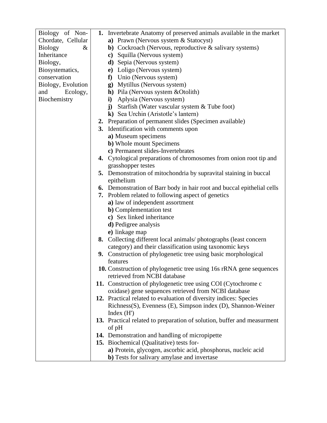| Biology of Non-        | 1. Invertebrate Anatomy of preserved animals available in the market          |
|------------------------|-------------------------------------------------------------------------------|
| Chordate, Cellular     | a) Prawn (Nervous system & Statocyst)                                         |
| <b>Biology</b><br>$\&$ | b) Cockroach (Nervous, reproductive & salivary systems)                       |
| Inheritance            | c) Squilla (Nervous system)                                                   |
| Biology,               | d) Sepia (Nervous system)                                                     |
| Biosystematics,        | e) Loligo (Nervous system)                                                    |
| conservation           | f) Unio (Nervous system)                                                      |
| Biology, Evolution     | g) Mytillus (Nervous system)                                                  |
| and<br>Ecology,        | h) Pila (Nervous system & Otolith)                                            |
| Biochemistry           | Aplysia (Nervous system)<br>$\mathbf{i}$                                      |
|                        | j) Starfish (Water vascular system & Tube foot)                               |
|                        | k) Sea Urchin (Aristotle's lantern)                                           |
|                        | 2. Preparation of permanent slides (Specimen available)                       |
|                        | 3. Identification with comments upon                                          |
|                        | a) Museum specimens                                                           |
|                        | <b>b</b> ) Whole mount Specimens                                              |
|                        | c) Permanent slides-Invertebrates                                             |
|                        | 4. Cytological preparations of chromosomes from onion root tip and            |
|                        | grasshopper testes                                                            |
|                        | 5. Demonstration of mitochondria by supravital staining in buccal             |
|                        | epithelium                                                                    |
|                        | <b>6.</b> Demonstration of Barr body in hair root and buccal epithelial cells |
|                        | 7. Problem related to following aspect of genetics                            |
|                        | a) law of independent assortment                                              |
|                        | <b>b</b> ) Complementation test                                               |
|                        | c) Sex linked inheritance                                                     |
|                        | d) Pedigree analysis<br>e) linkage map                                        |
|                        | 8. Collecting different local animals/photographs (least concern              |
|                        | category) and their classification using taxonomic keys                       |
|                        | 9. Construction of phylogenetic tree using basic morphological                |
|                        | features                                                                      |
|                        | 10. Construction of phylogenetic tree using 16s rRNA gene sequences           |
|                        | retrieved from NCBI database                                                  |
|                        | 11. Construction of phylogenetic tree using COI (Cytochrome c                 |
|                        | oxidase) gene sequences retrieved from NCBI database                          |
|                        | 12. Practical related to evaluation of diversity indices: Species             |
|                        | Richness(S), Evenness (E), Simpson index (D), Shannon-Weiner                  |
|                        | Index $(H')$                                                                  |
|                        | 13. Practical related to preparation of solution, buffer and measurment       |
|                        | of pH                                                                         |
|                        | 14. Demonstration and handling of micropipette                                |
|                        | 15. Biochemical (Qualitative) tests for-                                      |
|                        | a) Protein, glycogen, ascorbic acid, phosphorus, nucleic acid                 |
|                        | b) Tests for salivary amylase and invertase                                   |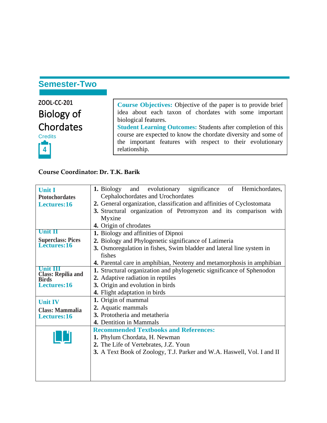# **Semester-Two**

| ZOOL-CC-201       |                                                                      |
|-------------------|----------------------------------------------------------------------|
|                   | <b>Course Objectives:</b> Objective of the paper is to provide brief |
| <b>Biology of</b> | idea about each taxon of chordates with some important               |
|                   | biological features.                                                 |
| <b>Chordates</b>  | <b>Student Learning Outcomes: Students after completion of this</b>  |
| <b>Credits</b>    | course are expected to know the chordate diversity and some of       |
|                   | the important features with respect to their evolutionary            |
| $\mathbf{r}$      | relationship.                                                        |

#### **Course Coordinator: Dr. T.K. Barik**

|                                           | and evolutionary<br>significance<br>of<br>Hemichordates,<br>1. Biology |  |  |  |
|-------------------------------------------|------------------------------------------------------------------------|--|--|--|
| <b>Unit I</b>                             |                                                                        |  |  |  |
| <b>Ptotochordates</b>                     | Cephalochordates and Urochordates                                      |  |  |  |
| Lectures:16                               | 2. General organization, classification and affinities of Cyclostomata |  |  |  |
|                                           | 3. Structural organization of Petromyzon and its comparison with       |  |  |  |
|                                           | Myxine                                                                 |  |  |  |
|                                           | 4. Origin of chrodates                                                 |  |  |  |
| <b>Unit II</b>                            | 1. Biology and affinities of Dipnoi                                    |  |  |  |
| <b>Superclass: Pices</b>                  | 2. Biology and Phylogenetic significance of Latimeria                  |  |  |  |
| Lectures:16                               | 3. Osmoregulation in fishes, Swim bladder and lateral line system in   |  |  |  |
|                                           | fishes                                                                 |  |  |  |
|                                           | 4. Parental care in amphibian, Neoteny and metamorphosis in amphibian  |  |  |  |
| Unit III                                  | 1. Structural organization and phylogenetic significance of Sphenodon  |  |  |  |
| <b>Class: Repilia and</b><br><b>Birds</b> | 2. Adaptive radiation in reptiles                                      |  |  |  |
| Lectures:16                               | 3. Origin and evolution in birds                                       |  |  |  |
|                                           | 4. Flight adaptation in birds                                          |  |  |  |
| <b>Unit IV</b>                            | 1. Origin of mammal                                                    |  |  |  |
| <b>Class: Mammalia</b>                    | 2. Aquatic mammals                                                     |  |  |  |
| Lectures:16                               | 3. Prototheria and metatheria                                          |  |  |  |
|                                           | 4. Dentition in Mammals                                                |  |  |  |
|                                           | <b>Recommended Textbooks and References:</b>                           |  |  |  |
|                                           | 1. Phylum Chordata, H. Newman                                          |  |  |  |
|                                           | 2. The Life of Vertebrates, J.Z. Youn                                  |  |  |  |
|                                           | 3. A Text Book of Zoology, T.J. Parker and W.A. Haswell, Vol. I and II |  |  |  |
|                                           |                                                                        |  |  |  |
|                                           |                                                                        |  |  |  |
|                                           |                                                                        |  |  |  |
|                                           |                                                                        |  |  |  |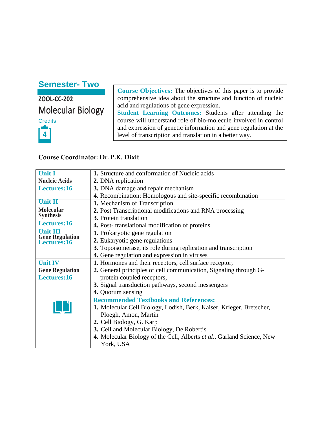## **Semester- Two**

**ZOOL-CC-202** Molecular Biology **Credits 4**

**Course Objectives:** The objectives of this paper is to provide comprehensive idea about the structure and function of nucleic acid and regulations of gene expression.

**Student Learning Outcomes:** Students after attending the course will understand role of bio-molecule involved in control and expression of genetic information and gene regulation at the level of transcription and translation in a better way.

#### **Course Coordinator: Dr. P.K. Dixit**

| <b>Unit I</b>                         | 1. Structure and conformation of Nucleic acids                         |
|---------------------------------------|------------------------------------------------------------------------|
| <b>Nucleic Acids</b>                  | 2. DNA replication                                                     |
| Lectures:16                           | 3. DNA damage and repair mechanism                                     |
|                                       | 4. Recombination: Homologous and site-specific recombination           |
| <b>Unit II</b>                        | 1. Mechanism of Transcription                                          |
| <b>Molecular</b>                      | 2. Post Transcriptional modifications and RNA processing               |
| <b>Synthesis</b>                      | 3. Protein translation                                                 |
| Lectures:16                           | 4. Post-translational modification of proteins                         |
| Unit III                              | <b>1.</b> Prokaryotic gene regulation                                  |
| <b>Gene Regulation</b><br>Lectures:16 | 2. Eukaryotic gene regulations                                         |
|                                       | 3. Topoisomerase, its role during replication and transcription        |
|                                       | 4. Gene regulation and expression in viruses                           |
| <b>Unit IV</b>                        | 1. Hormones and their receptors, cell surface receptor,                |
| <b>Gene Regulation</b>                | 2. General principles of cell communication, Signaling through G-      |
| Lectures:16                           | protein coupled receptors,                                             |
|                                       | 3. Signal transduction pathways, second messengers                     |
|                                       | 4. Quorum sensing                                                      |
|                                       | <b>Recommended Textbooks and References:</b>                           |
|                                       | 1. Molecular Cell Biology, Lodish, Berk, Kaiser, Krieger, Bretscher,   |
|                                       | Ploegh, Amon, Martin                                                   |
|                                       | 2. Cell Biology, G. Karp                                               |
|                                       | 3. Cell and Molecular Biology, De Robertis                             |
|                                       | 4. Molecular Biology of the Cell, Alberts et al., Garland Science, New |
|                                       | York, USA                                                              |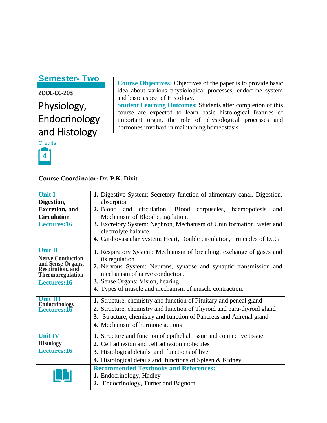### **Semester- Two**

# **ZOOL-CC-203** Physiology, Endocrinology and Histology



**Course Objectives:** Objectives of the paper is to provide basic idea about various physiological processes, endocrine system and basic aspect of Histology.

**Student Learning Outcomes:** Students after completion of this course are expected to learn basic histological features of important organ, the role of physiological processes and hormones involved in maintaining homeostasis.

#### **Course Coordinator: Dr. P.K. Dixit**

| <b>Unit I</b>                              | 1. Digestive System: Secretory function of alimentary canal, Digestion, |
|--------------------------------------------|-------------------------------------------------------------------------|
| Digestion,                                 | absorption                                                              |
| <b>Excretion</b> , and                     | 2. Blood and<br>circulation: Blood corpuscles, haemopoiesis<br>and      |
| <b>Circulation</b>                         | Mechanism of Blood coagulation.                                         |
| Lectures:16                                | 3. Excretory System: Nephron, Mechanism of Unin formation, water and    |
|                                            | electrolyte balance.                                                    |
|                                            | 4. Cardiovascular System: Heart, Double circulation, Principles of ECG  |
| <b>Unit II</b>                             | 1. Respiratory System: Mechanism of breathing, exchange of gases and    |
| <b>Nerve Conduction</b>                    | its regulation                                                          |
| and Sense Organs,                          | 2. Nervous System: Neurons, synapse and synaptic transmission and       |
| Respiration, and<br>Thermoregulation       | mechanism of nerve conduction.                                          |
| Lectures:16                                | 3. Sense Organs: Vision, hearing                                        |
|                                            | 4. Types of muscle and mechanism of muscle contraction.                 |
| <b>Unit III</b>                            | 1. Structure, chemistry and function of Pituitary and peneal gland      |
| <b>Endocrinology</b><br><b>Lectures:16</b> | 2. Structure, chemistry and function of Thyroid and para-thyroid gland  |
|                                            | 3. Structure, chemistry and function of Pancreas and Adrenal gland      |
|                                            | 4. Mechanism of hormone actions                                         |
|                                            |                                                                         |
| <b>Unit IV</b>                             | 1. Structure and function of epithelial tissue and connective tissue    |
| <b>Histology</b>                           | 2. Cell adhesion and cell adhesion molecules                            |
| Lectures:16                                | 3. Histological details and functions of liver                          |
|                                            | <b>4.</b> Histological details and functions of Spleen & Kidney         |
|                                            | <b>Recommended Textbooks and References:</b>                            |
|                                            | 1. Endocrinology, Hadley                                                |
|                                            | 2. Endocrinology, Turner and Bagnora                                    |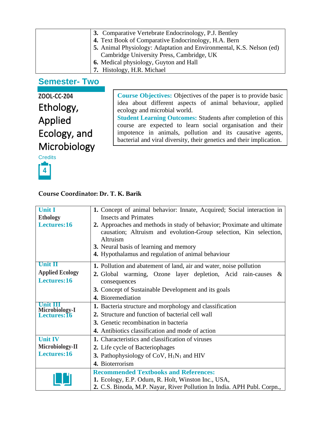| 3. Comparative Vertebrate Endocrinology, P.J. Bentley                       |
|-----------------------------------------------------------------------------|
| 4. Text Book of Comparative Endocrinology, H.A. Bern                        |
| <b>5.</b> Animal Physiology: Adaptation and Environmental, K.S. Nelson (ed) |
| Cambridge University Press, Cambridge, UK                                   |
| 6. Medical physiology, Guyton and Hall                                      |
| 7. Histology, H.R. Michael                                                  |

### **Semester- Two**

**ZOOL-CC-204** Ethology, Applied Ecology, and Microbiology

**Course Objectives:** Objectives of the paper is to provide basic idea about different aspects of animal behaviour, applied ecology and microbial world. **Student Learning Outcomes:** Students after completion of this

course are expected to learn social organisation and their impotence in animals, pollution and its causative agents, bacterial and viral diversity, their genetics and their implication.



#### **Course Coordinator: Dr. T. K. Barik**

| <b>Unit I</b>                 | 1. Concept of animal behavior: Innate, Acquired; Social interaction in                                                                                                                                                                                  |
|-------------------------------|---------------------------------------------------------------------------------------------------------------------------------------------------------------------------------------------------------------------------------------------------------|
| <b>Ethology</b>               | <b>Insects and Primates</b>                                                                                                                                                                                                                             |
| Lectures:16                   | 2. Approaches and methods in study of behavior; Proximate and ultimate<br>causation; Altruism and evolution-Group selection, Kin selection,<br>Altruism<br>3. Neural basis of learning and memory<br>4. Hypothalamus and regulation of animal behaviour |
| <b>Unit II</b>                | 1. Pollution and abatement of land, air and water, noise pollution                                                                                                                                                                                      |
| <b>Applied Ecology</b>        | 2. Global warming, Ozone layer depletion, Acid rain-causes &                                                                                                                                                                                            |
| Lectures:16                   | consequences                                                                                                                                                                                                                                            |
|                               | 3. Concept of Sustainable Development and its goals                                                                                                                                                                                                     |
|                               | 4. Bioremediation                                                                                                                                                                                                                                       |
| Unit III                      | 1. Bacteria structure and morphology and classification                                                                                                                                                                                                 |
| Microbiology-I<br>Lectures:16 | 2. Structure and function of bacterial cell wall                                                                                                                                                                                                        |
|                               | 3. Genetic recombination in bacteria                                                                                                                                                                                                                    |
|                               | 4. Antibiotics classification and mode of action                                                                                                                                                                                                        |
| <b>Unit IV</b>                | 1. Characteristics and classification of viruses                                                                                                                                                                                                        |
| Microbiology-II               | 2. Life cycle of Bacteriophages                                                                                                                                                                                                                         |
| Lectures:16                   | <b>3.</b> Pathophysiology of CoV, $H_1N_1$ and HIV                                                                                                                                                                                                      |
|                               | 4. Bioterrorism                                                                                                                                                                                                                                         |
|                               | <b>Recommended Textbooks and References:</b>                                                                                                                                                                                                            |
|                               | 1. Ecology, E.P. Odum, R. Holt, Winston Inc., USA,                                                                                                                                                                                                      |
|                               | 2. C.S. Binoda, M.P. Nayar, River Pollution In India. APH Publ. Corpn.,                                                                                                                                                                                 |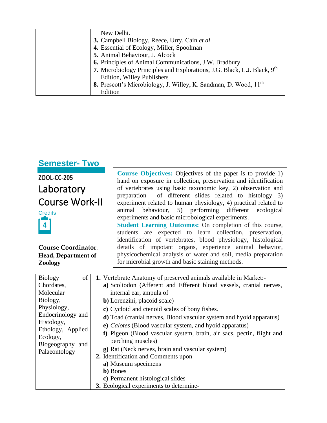| New Delhi.                                                                   |
|------------------------------------------------------------------------------|
| 3. Campbell Biology, Reece, Urry, Cain et al                                 |
| 4. Essential of Ecology, Miller, Spoolman                                    |
| 5. Animal Behaviour, J. Alcock                                               |
| 6. Principles of Animal Communications, J.W. Bradbury                        |
| 7. Microbiology Principles and Explorations, J.G. Black, L.J. Black, 9th     |
| Edition, Willey Publishers                                                   |
| 8. Prescott's Microbiology, J. Willey, K. Sandman, D. Wood, 11 <sup>th</sup> |
| Edition                                                                      |

| <b>Semester-Two</b>                                                                                                                                           |  |                                                                                                                                                                                                                                                                                                                                                                                                                                                                                                                                                                                                                                                                                                                                                                                                                                        |
|---------------------------------------------------------------------------------------------------------------------------------------------------------------|--|----------------------------------------------------------------------------------------------------------------------------------------------------------------------------------------------------------------------------------------------------------------------------------------------------------------------------------------------------------------------------------------------------------------------------------------------------------------------------------------------------------------------------------------------------------------------------------------------------------------------------------------------------------------------------------------------------------------------------------------------------------------------------------------------------------------------------------------|
| ZOOL-CC-205<br>Laboratory<br><b>Course Work-II</b><br><b>Credits</b><br>$\overline{4}$<br><b>Course Coordinator:</b><br><b>Head, Department of</b><br>Zoology |  | <b>Course Objectives:</b> Objectives of the paper is to provide 1)<br>hand on exposure in collection, preservation and identification<br>of vertebrates using basic taxonomic key, 2) observation and<br>of different slides related to histology 3)<br>preparation<br>experiment related to human physiology, 4) practical related to<br>behaviour, 5) performing different ecological<br>animal<br>experiments and basic microbological experiments.<br><b>Student Learning Outcomes:</b> On completion of this course,<br>students are expected to learn collection, preservation,<br>identification of vertebrates, blood physiology, histological<br>details of impotant organs, experience animal behavior,<br>physicochemical analysis of water and soil, media preparation<br>for microbial growth and basic staining methods. |
| of<br><b>Biology</b>                                                                                                                                          |  | <b>1.</b> Vertebrate Anatomy of preserved animals available in Market:-                                                                                                                                                                                                                                                                                                                                                                                                                                                                                                                                                                                                                                                                                                                                                                |
| Chordates,                                                                                                                                                    |  | a) Scoliodon (Afferent and Efferent blood vessels, cranial nerves,                                                                                                                                                                                                                                                                                                                                                                                                                                                                                                                                                                                                                                                                                                                                                                     |
| Molecular                                                                                                                                                     |  | internal ear, ampula of                                                                                                                                                                                                                                                                                                                                                                                                                                                                                                                                                                                                                                                                                                                                                                                                                |
| Biology,                                                                                                                                                      |  | b) Lorenzini, placoid scale)                                                                                                                                                                                                                                                                                                                                                                                                                                                                                                                                                                                                                                                                                                                                                                                                           |
| Physiology,<br>$End}_{\text{conjugation}$                                                                                                                     |  | c) Cycloid and ctenoid scales of bony fishes.                                                                                                                                                                                                                                                                                                                                                                                                                                                                                                                                                                                                                                                                                                                                                                                          |

| Biology,                      | b) Lorenzini, placoid scale)                                                |
|-------------------------------|-----------------------------------------------------------------------------|
| Physiology,                   | c) Cycloid and ctenoid scales of bony fishes.                               |
| Endocrinology and             | <b>d</b> ) Toad (cranial nerves, Blood vascular system and hyoid apparatus) |
| Histology,                    | e) Calotes (Blood vascular system, and hyoid apparatus)                     |
| Ethology, Applied<br>Ecology, | f) Pigeon (Blood vascular system, brain, air sacs, pectin, flight and       |
| Biogeography and              | perching muscles)                                                           |
| Palaeontology                 | <b>g</b> ) Rat (Neck nerves, brain and vascular system)                     |
|                               | 2. Identification and Comments upon                                         |
|                               | a) Museum specimens                                                         |
|                               | <b>b</b> ) Bones                                                            |
|                               | c) Permanent histological slides                                            |
|                               | 3. Ecological experiments to determine-                                     |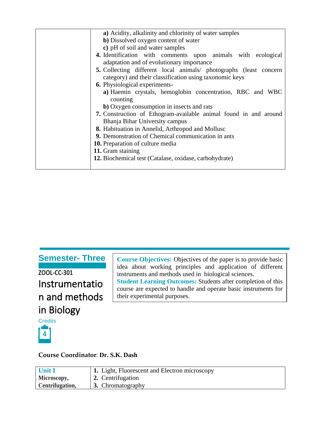| a) Acidity, alkalinity and chlorinity of water samples            |
|-------------------------------------------------------------------|
| b) Dissolved oxygen content of water                              |
| c) pH of soil and water samples                                   |
| 4. Identification with comments upon animals with ecological      |
| adaptation and of evolutionary importance                         |
| 5. Collecting different local animals/ photographs (least concern |
| category) and their classification using taxonomic keys           |
| <b>6.</b> Physiological experiments-                              |
| a) Haemin crystals, hemoglobin concentration, RBC and WBC         |
| counting                                                          |
| <b>b</b> ) Oxygen consumption in insects and rats                 |
| 7. Construction of Ethogram-available animal found in and around  |
| Bhanja Bihar University campus                                    |
| 8. Habituation in Annelid, Arthropod and Mollusc                  |
| 9. Demonstration of Chemical communication in ants                |
| <b>10.</b> Preparation of culture media                           |
| 11. Gram staining                                                 |
| 12. Biochemical test (Catalase, oxidase, carbohydrate)            |
|                                                                   |
|                                                                   |

# **Semester- Three**

**ZOOL-CC-301** Instrumentatio n and methods in Biology

**Course Objectives:** Objectives of the paper is to provide basic idea about working principles and application of different instruments and methods used in biological sciences. **Student Learning Outcomes:** Students after completion of this course are expected to handle and operate basic instruments for their experimental purposes.

# **Credits 4**

**Course Coordinator**: **Dr. S.K. Dash**

| <b>Unit I</b>   | 1. Light, Fluorescent and Electron microscopy |
|-----------------|-----------------------------------------------|
| Microscopy,     | 2. Centrifugation                             |
| Centrifugation, | $\parallel$ 3. Chromatography                 |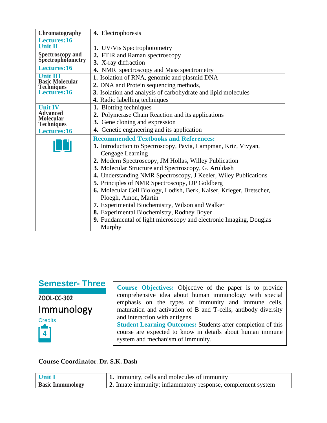| Chromatography                            | 4. Electrophoresis                                                   |
|-------------------------------------------|----------------------------------------------------------------------|
| Lectures:16                               |                                                                      |
| Unit II                                   | 1. UV/Vis Spectrophotometry                                          |
| <b>Spectroscopy and Spectrophotometry</b> | 2. FTIR and Raman spectroscopy                                       |
|                                           | 3. X-ray diffraction                                                 |
| Lectures:16                               | 4. NMR spectroscopy and Mass spectrometry                            |
| <b>Basic Molecular</b>                    | 1. Isolation of RNA, genomic and plasmid DNA                         |
|                                           | 2. DNA and Protein sequencing methods,                               |
| <b>Techniques</b><br><b>Lectures:16</b>   | 3. Isolation and analysis of carbohydrate and lipid molecules        |
|                                           | 4. Radio labelling techniques                                        |
| <b>Unit IV</b>                            | 1. Blotting techniques                                               |
| Advanced<br><b>Molecular</b>              | 2. Polymerase Chain Reaction and its applications                    |
| <b>Techniques</b>                         | 3. Gene cloning and expression                                       |
| Lectures:16                               | 4. Genetic engineering and its application                           |
|                                           | <b>Recommended Textbooks and References:</b>                         |
|                                           | 1. Introduction to Spectroscopy, Pavia, Lampman, Kriz, Vivyan,       |
|                                           | Cengage Learning                                                     |
|                                           | 2. Modern Spectroscopy, JM Hollas, Willey Publication                |
|                                           | 3. Molecular Structure and Spectroscopy, G. Aruldash                 |
|                                           | 4. Understanding NMR Spectroscopy, J Keeler, Wiley Publications      |
|                                           | <b>5.</b> Principles of NMR Spectroscopy, DP Goldberg                |
|                                           | 6. Molecular Cell Biology, Lodish, Berk, Kaiser, Krieger, Bretscher, |
|                                           | Ploegh, Amon, Martin                                                 |
|                                           | 7. Experimental Biochemistry, Wilson and Walker                      |
|                                           | 8. Experimental Biochemistry, Rodney Boyer                           |
|                                           | 9. Fundamental of light microscopy and electronic Imaging, Douglas   |
|                                           | Murphy                                                               |

# **Semester- Three**

**ZOOL-CC-302** Immunology

**Credits** 

**4**

**Course Objectives:** Objective of the paper is to provide comprehensive idea about human immunology with special emphasis on the types of immunity and immune cells, maturation and activation of B and T-cells, antibody diversity and interaction with antigens. **Student Learning Outcomes:** Students after completion of this

course are expected to know in details about human immune system and mechanism of immunity.

#### **Course Coordinator**: **Dr. S.K. Dash**

| Unit I                  | 1. Immunity, cells and molecules of immunity                 |
|-------------------------|--------------------------------------------------------------|
| <b>Basic Immunology</b> | 2. Innate immunity: inflammatory response, complement system |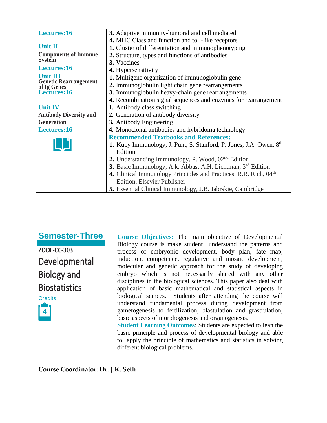| Lectures:16                                 | 3. Adaptive immunity-humoral and cell mediated                                 |  |
|---------------------------------------------|--------------------------------------------------------------------------------|--|
|                                             | 4. MHC Class and function and toll-like receptors                              |  |
| <b>Unit II</b>                              | 1. Cluster of differentiation and immunophenotyping                            |  |
| <b>Components of Immune</b>                 | 2. Structure, types and functions of antibodies                                |  |
| <b>System</b>                               | 3. Vaccines                                                                    |  |
| Lectures:16                                 | 4. Hypersensitivity                                                            |  |
| Unit III                                    | 1. Multigene organization of immunoglobulin gene                               |  |
| <b>Genetic Rearrangement</b><br>of Ig Genes | 2. Immunoglobulin light chain gene rearrangements                              |  |
| Lectures:16                                 | 3. Immunoglobulin heavy-chain gene rearrangements                              |  |
|                                             | 4. Recombination signal sequences and enzymes for rearrangement                |  |
| <b>Unit IV</b>                              | 1. Antibody class switching                                                    |  |
| <b>Antibody Diversity and</b>               | 2. Generation of antibody diversity                                            |  |
| <b>Generation</b>                           | 3. Antibody Engineering                                                        |  |
| Lectures:16                                 | 4. Monoclonal antibodies and hybridoma technology.                             |  |
|                                             | <b>Recommended Textbooks and References:</b>                                   |  |
|                                             | 1. Kuby Immunology, J. Punt, S. Stanford, P. Jones, J.A. Owen, 8 <sup>th</sup> |  |
|                                             | Edition                                                                        |  |
|                                             | 2. Understanding Immunology, P. Wood, 02 <sup>nd</sup> Edition                 |  |
|                                             | 3. Basic Immunology, A.k. Abbas, A.H. Lichtman, 3rd Edition                    |  |
|                                             | 4. Clinical Immunology Principles and Practices, R.R. Rich, 04 <sup>th</sup>   |  |
|                                             | Edition, Elsevier Publisher                                                    |  |
|                                             | 5. Essential Clinical Immunology, J.B. Jabrskie, Cambridge                     |  |

**Semester-Three**

**ZOOL-CC-303** Developmental Biology and **Biostatistics** 



**Course Objectives:** The main objective of Developmental Biology course is make student understand the patterns and process of embryonic development, body plan, fate map, induction, competence, regulative and mosaic development, molecular and genetic approach for the study of developing embryo which is not necessarily shared with any other disciplines in the biological sciences. This paper also deal with application of basic mathematical and statistical aspects in biological scinces. Students after attending the course will understand fundamental process during development from gametogenesis to fertilization, blastulation and grastrulation, basic aspects of morphogenesis and organogenesis.

**Student Learning Outcomes**: Students are expected to lean the basic principle and process of developmental biology and able to apply the principle of mathematics and statistics in solving different biological problems.

**Course Coordinator: Dr. J.K. Seth**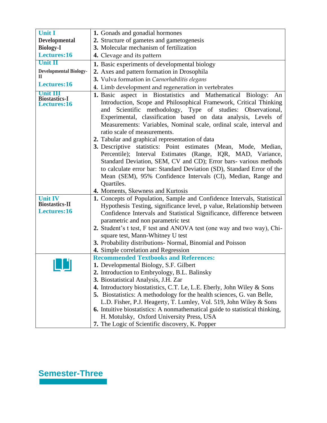| <b>Unit I</b>                                          | 1. Gonads and gonadial hormones                                                                                                                                                                                                                                                                                                                                                                                                                                                                                                                                                                                                                                                                                  |
|--------------------------------------------------------|------------------------------------------------------------------------------------------------------------------------------------------------------------------------------------------------------------------------------------------------------------------------------------------------------------------------------------------------------------------------------------------------------------------------------------------------------------------------------------------------------------------------------------------------------------------------------------------------------------------------------------------------------------------------------------------------------------------|
| <b>Developmental</b>                                   | 2. Structure of gametes and gametogenesis                                                                                                                                                                                                                                                                                                                                                                                                                                                                                                                                                                                                                                                                        |
| <b>Biology-I</b>                                       | 3. Molecular mechanism of fertilization                                                                                                                                                                                                                                                                                                                                                                                                                                                                                                                                                                                                                                                                          |
| Lectures:16                                            | 4. Clevage and its pattern                                                                                                                                                                                                                                                                                                                                                                                                                                                                                                                                                                                                                                                                                       |
| <b>Unit II</b>                                         | 1. Basic experiments of developmental biology                                                                                                                                                                                                                                                                                                                                                                                                                                                                                                                                                                                                                                                                    |
| <b>Developmental Biology-</b>                          | 2. Axes and pattern formation in Drosophila                                                                                                                                                                                                                                                                                                                                                                                                                                                                                                                                                                                                                                                                      |
| Н.                                                     | 3. Vulva formation in Caenorhabditis elegans                                                                                                                                                                                                                                                                                                                                                                                                                                                                                                                                                                                                                                                                     |
| Lectures:16                                            | 4. Limb development and regeneration in vertebrates                                                                                                                                                                                                                                                                                                                                                                                                                                                                                                                                                                                                                                                              |
| <b>Biostastics-I</b><br>Lectures:16                    | 1. Basic aspect in Biostatistics and Mathematical Biology: An<br>Introduction, Scope and Philosophical Framework, Critical Thinking<br>Scientific methodology, Type of studies: Observational,<br>and<br>Experimental, classification based on data analysis, Levels of<br>Measurements: Variables, Nominal scale, ordinal scale, interval and<br>ratio scale of measurements.<br>2. Tabular and graphical representation of data<br>3. Descriptive statistics: Point estimates (Mean, Mode, Median,<br>Percentile); Interval Estimates (Range, IQR, MAD, Variance,<br>Standard Deviation, SEM, CV and CD); Error bars-various methods<br>to calculate error bar: Standard Deviation (SD), Standard Error of the |
|                                                        | Mean (SEM), 95% Confidence Intervals (CI), Median, Range and<br>Quartiles.<br>4. Moments, Skewness and Kurtosis                                                                                                                                                                                                                                                                                                                                                                                                                                                                                                                                                                                                  |
| <b>Unit IV</b><br><b>Biostastics-II</b><br>Lectures:16 | 1. Concepts of Population, Sample and Confidence Intervals, Statistical<br>Hypothesis Testing, significance level, p value, Relationship between<br>Confidence Intervals and Statistical Significance, difference between<br>parametric and non parametric test<br>2. Student's t test, F test and ANOVA test (one way and two way), Chi-<br>square test, Mann-Whitney U test<br>3. Probability distributions- Normal, Binomial and Poisson                                                                                                                                                                                                                                                                      |
|                                                        | 4. Simple correlation and Regression                                                                                                                                                                                                                                                                                                                                                                                                                                                                                                                                                                                                                                                                             |
|                                                        | <b>Recommended Textbooks and References:</b><br>1. Developmental Biology, S.F. Gilbert<br>2. Introduction to Embryology, B.L. Balinsky<br>3. Biostatistical Analysis, J.H. Zar                                                                                                                                                                                                                                                                                                                                                                                                                                                                                                                                   |
|                                                        | 4. Introductory biostatistics, C.T. Le, L.E. Eberly, John Wiley & Sons<br>5. Biostatistics: A methodology for the health sciences, G. van Belle,                                                                                                                                                                                                                                                                                                                                                                                                                                                                                                                                                                 |
|                                                        | L.D. Fisher, P.J. Heagerty, T. Lumley, Vol. 519, John Wiley & Sons                                                                                                                                                                                                                                                                                                                                                                                                                                                                                                                                                                                                                                               |
|                                                        | <b>6.</b> Intuitive biostatistics: A nonmathematical guide to statistical thinking,                                                                                                                                                                                                                                                                                                                                                                                                                                                                                                                                                                                                                              |
|                                                        | H. Motulsky, Oxford University Press, USA                                                                                                                                                                                                                                                                                                                                                                                                                                                                                                                                                                                                                                                                        |
|                                                        | 7. The Logic of Scientific discovery, K. Popper                                                                                                                                                                                                                                                                                                                                                                                                                                                                                                                                                                                                                                                                  |

# **Semester-Three**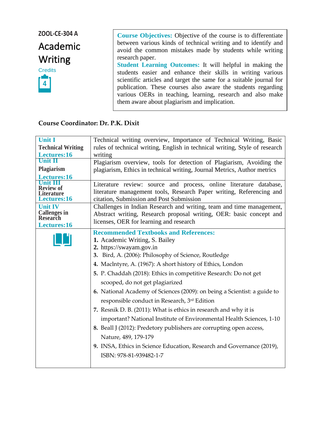# **ZOOL-CE-304 A** Academic Writing



**Course Objectives:** Objective of the course is to differentiate between various kinds of technical writing and to identify and avoid the common mistakes made by students while writing research paper. **Student Learning Outcomes:** It will helpful in making the

students easier and enhance their skills in writing various scientific articles and target the same for a suitable journal for publication. These courses also aware the students regarding various OERs in teaching, learning, research and also make them aware about plagiarism and implication.

#### **Course Coordinator: Dr. P.K. Dixit**

| <b>Unit I</b>                    | Technical writing overview, Importance of Technical Writing, Basic                                                                                                                                                                                                                                                                                                                                                                                                                                                                                                                                                                                                                                                                                                                                                 |
|----------------------------------|--------------------------------------------------------------------------------------------------------------------------------------------------------------------------------------------------------------------------------------------------------------------------------------------------------------------------------------------------------------------------------------------------------------------------------------------------------------------------------------------------------------------------------------------------------------------------------------------------------------------------------------------------------------------------------------------------------------------------------------------------------------------------------------------------------------------|
| <b>Technical Writing</b>         | rules of technical writing, English in technical writing, Style of research                                                                                                                                                                                                                                                                                                                                                                                                                                                                                                                                                                                                                                                                                                                                        |
| Lectures:16                      | writing                                                                                                                                                                                                                                                                                                                                                                                                                                                                                                                                                                                                                                                                                                                                                                                                            |
| Unit II                          | Plagiarism overview, tools for detection of Plagiarism, Avoiding the                                                                                                                                                                                                                                                                                                                                                                                                                                                                                                                                                                                                                                                                                                                                               |
| Plagiarism<br>Lectures:16        | plagiarism, Ethics in technical writing, Journal Metrics, Author metrics                                                                                                                                                                                                                                                                                                                                                                                                                                                                                                                                                                                                                                                                                                                                           |
| <b>Review of</b>                 | Literature review: source and process, online literature database,                                                                                                                                                                                                                                                                                                                                                                                                                                                                                                                                                                                                                                                                                                                                                 |
| Literature                       | literature management tools, Research Paper writing, Referencing and                                                                                                                                                                                                                                                                                                                                                                                                                                                                                                                                                                                                                                                                                                                                               |
| Lectures:16                      | citation, Submission and Post Submission                                                                                                                                                                                                                                                                                                                                                                                                                                                                                                                                                                                                                                                                                                                                                                           |
| <b>Unit IV</b>                   | Challenges in Indian Research and writing, team and time management,                                                                                                                                                                                                                                                                                                                                                                                                                                                                                                                                                                                                                                                                                                                                               |
| <b>Callenges in<br/>Research</b> | Abstract writing, Research proposal writing, OER: basic concept and                                                                                                                                                                                                                                                                                                                                                                                                                                                                                                                                                                                                                                                                                                                                                |
| Lectures:16                      | licenses, OER for learning and research                                                                                                                                                                                                                                                                                                                                                                                                                                                                                                                                                                                                                                                                                                                                                                            |
|                                  | <b>Recommended Textbooks and References:</b><br>1. Academic Writing, S. Bailey<br>2. https://swayam.gov.in<br>3. Bird, A. (2006): Philosophy of Science, Routledge<br>4. Maclntyre, A. (1967): A short history of Ethics, London<br>5. P. Chaddah (2018): Ethics in competitive Research: Do not get<br>scooped, do not get plagiarized<br>6. National Academy of Sciences (2009): on being a Scientist: a guide to<br>responsible conduct in Research, 3rd Edition<br>7. Resnik D. B. (2011): What is ethics in research and why it is<br>important? National Institute of Environmental Health Sciences, 1-10<br>8. Beall J (2012): Predetory publishers are corrupting open access,<br>Nature, 489, 179-179<br>9. INSA, Ethics in Science Education, Research and Governance (2019),<br>ISBN: 978-81-939482-1-7 |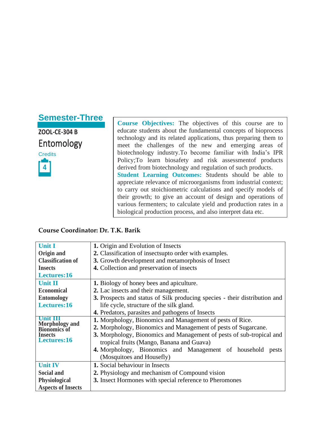# **Semester-Three**

**ZOOL-CE-304 B** Entomology



**Course Objectives:** The objectives of this course are to educate students about the fundamental concepts of bioprocess technology and its related applications, thus preparing them to meet the challenges of the new and emerging areas of biotechnology industry.To become familiar with India's IPR Policy;To learn biosafety and risk assessmentof products derived from biotechnology and regulation of such products. **Student Learning Outcomes:** Students should be able to appreciate relevance of microorganisms from industrial context; to carry out stoichiometric calculations and specify models of their growth; to give an account of design and operations of various fermenters; to calculate yield and production rates in a biological production process, and also interpret data etc.

#### **Course Coordinator: Dr. T.K. Barik**

| <b>Unit I</b>                                            | 1. Origin and Evolution of Insects                                         |
|----------------------------------------------------------|----------------------------------------------------------------------------|
| Origin and                                               | 2. Classification of insects upto order with examples.                     |
| <b>Classification of</b>                                 | 3. Growth development and metamorphosis of Insect                          |
| <b>Insects</b>                                           | 4. Collection and preservation of insects                                  |
| Lectures:16                                              |                                                                            |
| <b>Unit II</b>                                           | <b>1.</b> Biology of honey bees and apiculture.                            |
| <b>Economical</b>                                        | 2. Lac insects and their management.                                       |
| <b>Entomology</b>                                        | 3. Prospects and status of Silk producing species - their distribution and |
| Lectures:16                                              | life cycle, structure of the silk gland.                                   |
|                                                          | 4. Predators, parasites and pathogens of Insects                           |
|                                                          |                                                                            |
| Unit III                                                 | 1. Morphology, Bionomics and Management of pests of Rice.                  |
|                                                          | 2. Morphology, Bionomics and Management of pests of Sugarcane.             |
| <b>Morphology and<br/>Bionomics of</b><br><b>Insects</b> | 3. Morphology, Bionomics and Management of pests of sub-tropical and       |
| Lectures:16                                              | tropical fruits (Mango, Banana and Guava)                                  |
|                                                          | 4. Morphology, Bionomics and Management of household<br>pests              |
|                                                          | (Mosquitoes and Housefly)                                                  |
| <b>Unit IV</b>                                           | 1. Social behaviour in Insects                                             |
| <b>Social and</b>                                        | 2. Physiology and mechanism of Compound vision                             |
| <b>Physiological</b>                                     | 3. Insect Hormones with special reference to Pheromones                    |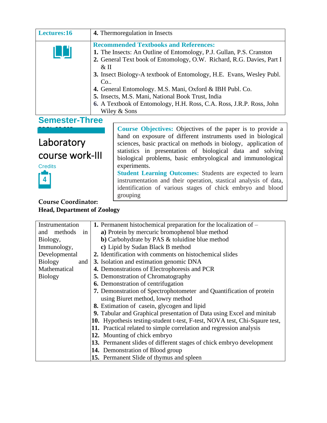| Lectures:16                   |                                                                                                                                                                                                                                                                                                                                                                                                                                                                                                 | 4. Thermoregulation in Insects                                                                                                                                                                                                                                                                                                  |
|-------------------------------|-------------------------------------------------------------------------------------------------------------------------------------------------------------------------------------------------------------------------------------------------------------------------------------------------------------------------------------------------------------------------------------------------------------------------------------------------------------------------------------------------|---------------------------------------------------------------------------------------------------------------------------------------------------------------------------------------------------------------------------------------------------------------------------------------------------------------------------------|
|                               | <b>Recommended Textbooks and References:</b><br>1. The Insects: An Outline of Entomology, P.J. Gullan, P.S. Cranston<br>2. General Text book of Entomology, O.W. Richard, R.G. Davies, Part I<br>$&$ II<br>3. Insect Biology-A textbook of Entomology, H.E. Evans, Wesley Publ.<br>Co.<br>4. General Entomology. M.S. Mani, Oxford & IBH Publ. Co.<br>5. Insects, M.S. Mani, National Book Trust, India<br>6. A Textbook of Entomology, H.H. Ross, C.A. Ross, J.R.P. Ross, John<br>Wiley & Sons |                                                                                                                                                                                                                                                                                                                                 |
| <b>Semester-Three</b>         |                                                                                                                                                                                                                                                                                                                                                                                                                                                                                                 |                                                                                                                                                                                                                                                                                                                                 |
| Laboratory<br>course work-III |                                                                                                                                                                                                                                                                                                                                                                                                                                                                                                 | <b>Course Objectives:</b> Objectives of the paper is to provide a<br>hand on exposure of different instruments used in biological<br>sciences, basic practical on methods in biology, application of<br>statistics in presentation of biological data and solving<br>biological problems, basic embryological and immunological |

**Student Learning Outcomes:** Students are expected to learn instrumentation and their operation, stastical analysis of data, identification of various stages of chick embryo and blood

experiments.

grouping

**Credits 4**

#### **Course Coordinator: Head, Department of Zoology**

| Instrumentation       | <b>1.</b> Permanent histochemical preparation for the localization of $-$  |
|-----------------------|----------------------------------------------------------------------------|
| and methods<br>in     | a) Protein by mercuric bromophenol blue method                             |
| Biology,              | <b>b</b> ) Carbohydrate by PAS & toluidine blue method                     |
| Immunology,           | c) Lipid by Sudan Black B method                                           |
| Developmental         | 2. Identification with comments on histochemical slides                    |
| <b>Biology</b><br>and | 3. Isolation and estimation genomic DNA                                    |
| Mathematical          | 4. Demonstrations of Electrophoresis and PCR                               |
| <b>Biology</b>        | <b>5.</b> Demonstration of Chromatography                                  |
|                       | <b>6.</b> Demonstration of centrifugation                                  |
|                       | 7. Demonstration of Spectrophotometer and Quantification of protein        |
|                       | using Biuret method, lowry method                                          |
|                       | 8. Estimation of casein, glycogen and lipid                                |
|                       | 9. Tabular and Graphical presentation of Data using Excel and minitab      |
|                       | 10. Hypothesis testing-student t-test, F-test, NOVA test, Chi-Sqaure test, |
|                       | 11. Practical related to simple correlation and regression analysis        |
|                       | 12. Mounting of chick embryo                                               |
|                       | 13. Permanent slides of different stages of chick embryo development       |
|                       | 14. Demonstration of Blood group                                           |
|                       | 15. Permanent Slide of thymus and spleen                                   |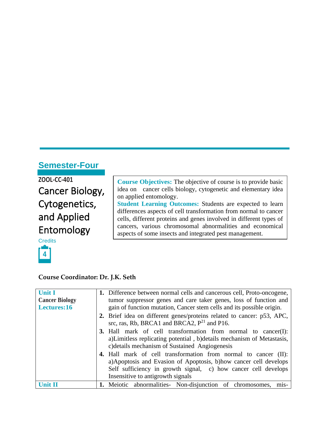# **Semester-Four**

**ZOOL-CC-401** Cancer Biology, Cytogenetics, and Applied Entomology

**Credits** 



#### **Course Coordinator: Dr. J.K. Seth**

| <b>Unit I</b>         | 1. Difference between normal cells and cancerous cell, Proto-oncogene,                                                                                                                                                                              |      |
|-----------------------|-----------------------------------------------------------------------------------------------------------------------------------------------------------------------------------------------------------------------------------------------------|------|
| <b>Cancer Biology</b> | tumor suppressor genes and care taker genes, loss of function and                                                                                                                                                                                   |      |
| Lectures:16           | gain of function mutation, Cancer stem cells and its possible origin.                                                                                                                                                                               |      |
|                       | 2. Brief idea on different genes/proteins related to cancer: p53, APC,<br>src, ras, Rb, BRCA1 and BRCA2, $P^{21}$ and P16.                                                                                                                          |      |
|                       | <b>3.</b> Hall mark of cell transformation from normal to cancer(I):<br>a) Limitless replicating potential, b) details mechanism of Metastasis,<br>c) details mechanism of Sustained Angiogenesis                                                   |      |
|                       | <b>4.</b> Hall mark of cell transformation from normal to cancer (II):<br>a) Apoptosis and Evasion of Apoptosis, b) how cancer cell develops<br>Self sufficiency in growth signal, c) how cancer cell develops<br>Insensitive to antigrowth signals |      |
| <b>Unit II</b>        | 1. Meiotic abnormalities Non-disjunction of chromosomes,                                                                                                                                                                                            | mis- |

**Course Objectives:** The objective of course is to provide basic idea on cancer cells biology, cytogenetic and elementary idea on applied entomology. **Student Learning Outcomes:** Students are expected to learn differences aspects of cell transformation from normal to cancer cells, different proteins and genes involved in different types of cancers, various chromosomal abnormalities and economical aspects of some insects and integrated pest management.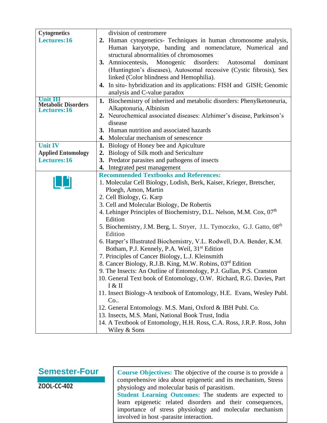| <b>Cytogenetics</b>                       | division of centromere                                                                     |
|-------------------------------------------|--------------------------------------------------------------------------------------------|
| Lectures:16                               | 2. Human cytogenetics- Techniques in human chromosome analysis,                            |
|                                           | Human karyotype, banding and nomenclature, Numerical and                                   |
|                                           | structural abnormalities of chromosomes                                                    |
|                                           | 3. Amniocentesis, Monogenic disorders:<br>Autosomal<br>dominant                            |
|                                           | (Huntington's diseases), Autosomal recessive (Cystic fibrosis), Sex                        |
|                                           | linked (Color blindness and Hemophilia).                                                   |
|                                           | 4. In situ- hybridization and its applications: FISH and GISH; Genomic                     |
|                                           | analysis and C-value paradox                                                               |
|                                           | 1. Biochemistry of inherited and metabolic disorders: Phenylketoneuria,                    |
| <b>Metabolic Disorders</b><br>Lectures:16 | Alkaptonuria, Albinism                                                                     |
|                                           | 2. Neurochemical associated diseases: Alzhimer's disease, Parkinson's                      |
|                                           | disease                                                                                    |
|                                           | 3. Human nutrition and associated hazards                                                  |
|                                           | 4. Molecular mechanism of senescence                                                       |
| <b>Unit IV</b>                            | 1. Biology of Honey bee and Apiculture                                                     |
| <b>Applied Entomology</b>                 | 2. Biology of Silk moth and Sericulture                                                    |
| Lectures:16                               |                                                                                            |
|                                           | 3. Predator parasites and pathogens of insects                                             |
|                                           | 4. Integrated pest management                                                              |
|                                           | <b>Recommended Textbooks and References:</b>                                               |
|                                           | 1. Molecular Cell Biology, Lodish, Berk, Kaiser, Krieger, Bretscher,                       |
|                                           | Ploegh, Amon, Martin                                                                       |
|                                           | 2. Cell Biology, G. Karp                                                                   |
|                                           | 3. Cell and Molecular Biology, De Robertis                                                 |
|                                           | 4. Lehinger Principles of Biochemistry, D.L. Nelson, M.M. Cox, 07 <sup>th</sup><br>Edition |
|                                           | 5. Biochemistry, J.M. Berg, L. Stryer, J.L. Tymoczko, G.J. Gatto, 08 <sup>th</sup>         |
|                                           | Edition                                                                                    |
|                                           | 6. Harper's Illustrated Biochemistry, V.L. Rodwell, D.A. Bender, K.M.                      |
|                                           | Botham, P.J. Kennely, P.A. Weil, 31 <sup>st</sup> Edition                                  |
|                                           | 7. Principles of Cancer Biology, L.J. Kleinsmith                                           |
|                                           | 8. Cancer Biology, R.J.B. King, M.W. Robins, 03 <sup>rd</sup> Edition                      |
|                                           | 9. The Insects: An Outline of Entomology, P.J. Gullan, P.S. Cranston                       |
|                                           | 10. General Text book of Entomology, O.W. Richard, R.G. Davies, Part                       |
|                                           | I & H                                                                                      |
|                                           | 11. Insect Biology-A textbook of Entomology, H.E. Evans, Wesley Publ.                      |
|                                           | Co.                                                                                        |
|                                           | 12. General Entomology. M.S. Mani, Oxford & IBH Publ. Co.                                  |
|                                           | 13. Insects, M.S. Mani, National Book Trust, India                                         |
|                                           | 14. A Textbook of Entomology, H.H. Ross, C.A. Ross, J.R.P. Ross, John                      |
|                                           | Wiley & Sons                                                                               |
|                                           |                                                                                            |

### **Semester-Four**

**ZOOL-CC-402**

**Course Objectives:** The objective of the course is to provide a comprehensive idea about epigenetic and its mechanism, Stress physiology and molecular basis of parasitism.

**Student Learning Outcomes:** The students are expected to learn epigenetic related disorders and their consequences, importance of stress physiology and molecular mechanism involved in host -parasite interaction.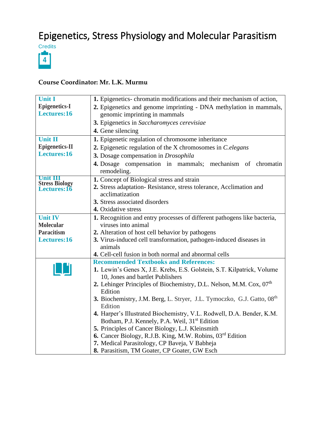# Epigenetics, Stress Physiology and Molecular Parasitism



#### **Course Coordinator: Mr. L.K. Murmu**

| <b>Unit I</b>                               | 1. Epigenetics-chromatin modifications and their mechanism of action,                                               |
|---------------------------------------------|---------------------------------------------------------------------------------------------------------------------|
| <b>Epigenetics-I</b>                        | 2. Epigenetics and genome imprinting - DNA methylation in mammals,                                                  |
| Lectures:16                                 | genomic imprinting in mammals                                                                                       |
|                                             | 3. Epigenetics in Saccharomyces cerevisiae                                                                          |
|                                             | 4. Gene silencing                                                                                                   |
| <b>Unit II</b>                              | 1. Epigenetic regulation of chromosome inheritance                                                                  |
| <b>Epigenetics-II</b>                       | 2. Epigenetic regulation of the X chromosomes in C.elegans                                                          |
| Lectures:16                                 | 3. Dosage compensation in Drosophila                                                                                |
|                                             | 4. Dosage compensation in mammals; mechanism of chromatin                                                           |
|                                             | remodeling.                                                                                                         |
| Unit III                                    | 1. Concept of Biological stress and strain                                                                          |
| <b>Stress Biology</b><br><b>Lectures:16</b> | 2. Stress adaptation-Resistance, stress tolerance, Acclimation and<br>acclimatization                               |
|                                             | 3. Stress associated disorders                                                                                      |
|                                             | 4. Oxidative stress                                                                                                 |
| <b>Unit IV</b>                              | 1. Recognition and entry processes of different pathogens like bacteria,                                            |
| <b>Molecular</b>                            | viruses into animal                                                                                                 |
| <b>Paracitism</b>                           | 2. Alteration of host cell behavior by pathogens                                                                    |
| Lectures:16                                 | 3. Virus-induced cell transformation, pathogen-induced diseases in                                                  |
|                                             | animals                                                                                                             |
|                                             | <b>4.</b> Cell-cell fusion in both normal and abnormal cells                                                        |
|                                             | <b>Recommended Textbooks and References:</b>                                                                        |
|                                             | 1. Lewin's Genes X, J.E. Krebs, E.S. Golstein, S.T. Kilpatrick, Volume                                              |
|                                             | 10, Jones and bartlet Publishers<br>2. Lehinger Principles of Biochemistry, D.L. Nelson, M.M. Cox, 07 <sup>th</sup> |
|                                             | Edition                                                                                                             |
|                                             | 3. Biochemistry, J.M. Berg, L. Stryer, J.L. Tymoczko, G.J. Gatto, 08 <sup>th</sup>                                  |
|                                             | Edition                                                                                                             |
|                                             | 4. Harper's Illustrated Biochemistry, V.L. Rodwell, D.A. Bender, K.M.                                               |
|                                             | Botham, P.J. Kennely, P.A. Weil, 31 <sup>st</sup> Edition                                                           |
|                                             | 5. Principles of Cancer Biology, L.J. Kleinsmith                                                                    |
|                                             | <b>6.</b> Cancer Biology, R.J.B. King, M.W. Robins, 03 <sup>rd</sup> Edition                                        |
|                                             | 7. Medical Parasitology, CP Baveja, V Babheja                                                                       |
|                                             | 8. Parasitism, TM Goater, CP Goater, GW Esch                                                                        |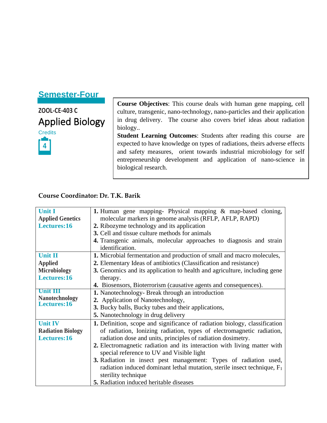# **Semester-Four**

**ZOOL-CE-403 C** Applied Biology

**Credits** 



**Course Objectives**: This course deals with human gene mapping, cell culture, transgenic, nano-technology, nano-particles and their application in drug delivery. The course also covers brief ideas about radiation biology..

**Student Learning Outcomes**: Students after reading this course are expected to have knowledge on types of radiations, theirs adverse effects and safety measures, orient towards industrial microbiology for self entrepreneurship development and application of nano-science in biological research.

#### **Course Coordinator: Dr. T.K. Barik**

| <b>Unit I</b>                        | 1. Human gene mapping- Physical mapping & map-based cloning,                         |
|--------------------------------------|--------------------------------------------------------------------------------------|
| <b>Applied Genetics</b>              | molecular markers in genome analysis (RFLP, AFLP, RAPD)                              |
| Lectures:16                          | 2. Ribozyme technology and its application                                           |
|                                      | 3. Cell and tissue culture methods for animals                                       |
|                                      | 4. Transgenic animals, molecular approaches to diagnosis and strain                  |
|                                      | identification.                                                                      |
| <b>Unit II</b>                       | 1. Microbial fermentation and production of small and macro molecules,               |
| <b>Applied</b>                       | 2. Elementary Ideas of antibiotics (Classification and resistance)                   |
| <b>Microbiology</b>                  | 3. Genomics and its application to health and agriculture, including gene            |
| Lectures:16                          | therapy.                                                                             |
|                                      | 4. Biosensors, Bioterrorism (causative agents and consequences).                     |
| <b>Unit III</b>                      | 1. Nanotechnology- Break through an introduction                                     |
| <b>Nanotechnology</b><br>Lectures:16 | 2. Application of Nanotechnology,                                                    |
|                                      | 3. Bucky balls, Bucky tubes and their applications,                                  |
|                                      | 5. Nanotechnology in drug delivery                                                   |
| <b>Unit IV</b>                       | 1. Definition, scope and significance of radiation biology, classification           |
| <b>Radiation Biology</b>             | of radiation, Ionizing radiation, types of electromagnetic radiation,                |
| Lectures:16                          | radiation dose and units, principles of radiation dosimetry.                         |
|                                      | 2. Electromagnetic radiation and its interaction with living matter with             |
|                                      | special reference to UV and Visible light                                            |
|                                      | 3. Radiation in insect pest management: Types of radiation used,                     |
|                                      | radiation induced dominant lethal mutation, sterile insect technique, F <sub>1</sub> |
|                                      | sterility technique                                                                  |
|                                      | <b>5.</b> Radiation induced heritable diseases                                       |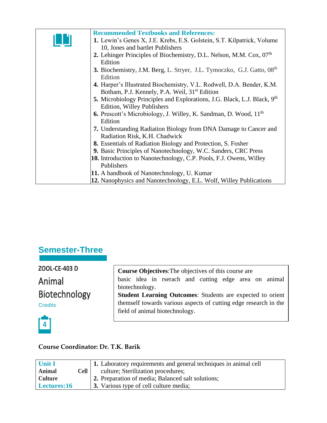|    | <b>Recommended Textbooks and References:</b>                                              |
|----|-------------------------------------------------------------------------------------------|
| LШ | 1. Lewin's Genes X, J.E. Krebs, E.S. Golstein, S.T. Kilpatrick, Volume                    |
|    | 10, Jones and bartlet Publishers                                                          |
|    | 2. Lehinger Principles of Biochemistry, D.L. Nelson, M.M. Cox, 07 <sup>th</sup>           |
|    | Edition                                                                                   |
|    | <b>3.</b> Biochemistry, J.M. Berg, L. Stryer, J.L. Tymoczko, G.J. Gatto, 08 <sup>th</sup> |
|    | Edition                                                                                   |
|    | 4. Harper's Illustrated Biochemistry, V.L. Rodwell, D.A. Bender, K.M.                     |
|    | Botham, P.J. Kennely, P.A. Weil, 31 <sup>st</sup> Edition                                 |
|    | 5. Microbiology Principles and Explorations, J.G. Black, L.J. Black, 9 <sup>th</sup>      |
|    | <b>Edition, Willey Publishers</b>                                                         |
|    |                                                                                           |
|    | <b>6.</b> Prescott's Microbiology, J. Willey, K. Sandman, D. Wood, 11 <sup>th</sup>       |
|    | Edition                                                                                   |
|    | 7. Understanding Radiation Biology from DNA Damage to Cancer and                          |
|    | Radiation Risk, K.H. Chadwick                                                             |
|    | <b>8.</b> Essentials of Radiation Biology and Protection, S. Fosher                       |
|    | 9. Basic Principles of Nanotechnology, W.C. Sanders, CRC Press                            |
|    | 10. Introduction to Nanotechnology, C.P. Pools, F.J. Owens, Willey                        |
|    | Publishers                                                                                |
|    | 11. A handbook of Nanotechnology, U. Kumar                                                |
|    | 12. Nanophysics and Nanotechnology, E.L. Wolf, Willey Publications                        |

# **Semester-Three**

**ZOOL-CE-403 D** Animal

Biotechnology

**Credits** 

**Course Objectives**:The objectives of this course are basic idea in rserach and cutting edge area on animal biotechnology. **Student Learning Outcomes**: Students are expected to orient themself towards various aspects of cutting edge research in the field of animal biotechnology.



#### **Course Coordinator: Dr. T.K. Barik**

| <b>Unit I</b><br>Animal       | Cell | <b>1.</b> Laboratory requirements and general techniques in animal cell<br>culture; Sterilization procedures; |
|-------------------------------|------|---------------------------------------------------------------------------------------------------------------|
| <b>Culture</b><br>Lectures:16 |      | 2. Preparation of media; Balanced salt solutions;<br>3. Various type of cell culture media;                   |
|                               |      |                                                                                                               |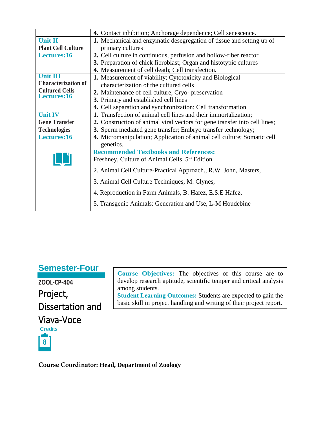|                                      | 4. Contact inhibition; Anchorage dependence; Cell senescence.              |  |
|--------------------------------------|----------------------------------------------------------------------------|--|
| <b>Unit II</b>                       | 1. Mechanical and enzymatic desegregation of tissue and setting up of      |  |
| <b>Plant Cell Culture</b>            | primary cultures                                                           |  |
| Lectures:16                          | 2. Cell culture in continuous, perfusion and hollow-fiber reactor          |  |
|                                      | 3. Preparation of chick fibroblast; Organ and histotypic cultures          |  |
|                                      | 4. Measurement of cell death; Cell transfection.                           |  |
| <b>Unit III</b>                      | 1. Measurement of viability; Cytotoxicity and Biological                   |  |
| <b>Characterization of</b>           | characterization of the cultured cells                                     |  |
| <b>Cultured Cells</b><br>Lectures:16 | 2. Maintenance of cell culture; Cryo- preservation                         |  |
|                                      | 3. Primary and established cell lines                                      |  |
|                                      | 4. Cell separation and synchronization; Cell transformation                |  |
| <b>Unit IV</b>                       | 1. Transfection of animal cell lines and their immortalization;            |  |
| <b>Gene Transfer</b>                 | 2. Construction of animal viral vectors for gene transfer into cell lines; |  |
| <b>Technologies</b>                  | 3. Sperm mediated gene transfer; Embryo transfer technology;               |  |
| Lectures:16                          | 4. Micromanipulation; Application of animal cell culture; Somatic cell     |  |
|                                      | genetics.                                                                  |  |
|                                      | <b>Recommended Textbooks and References:</b>                               |  |
|                                      | Freshney, Culture of Animal Cells, 5 <sup>th</sup> Edition.                |  |
|                                      | 2. Animal Cell Culture-Practical Approach., R.W. John, Masters,            |  |
|                                      |                                                                            |  |
|                                      | 3. Animal Cell Culture Techniques, M. Clynes,                              |  |
|                                      | 4. Reproduction in Farm Animals, B. Hafez, E.S.E Hafez,                    |  |
|                                      | 5. Transgenic Animals: Generation and Use, L-M Houdebine                   |  |

## **Semester-Four**

**ZOOL-CP-404** Project, Dissertation and Viava-Voce **Credits 8**

**Course Objectives:** The objectives of this course are to develop research aptitude, scientific temper and critical analysis among students. **Student Learning Outcomes:** Students are expected to gain the basic skill in project handling and writing of their project report.

**Course Coordinator: Head, Department of Zoology**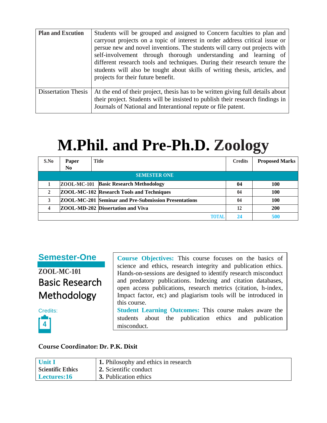| <b>Plan and Excution</b>   | Students will be grouped and assigned to Concern faculties to plan and<br>carryout projects on a topic of interest in order address critical issue or<br>persue new and novel inventions. The students will carry out projects with<br>self-involvement through thorough understanding and learning of<br>different research tools and techniques. During their research tenure the<br>students will also be tought about skills of writing thesis, articles, and<br>projects for their future benefit. |
|----------------------------|---------------------------------------------------------------------------------------------------------------------------------------------------------------------------------------------------------------------------------------------------------------------------------------------------------------------------------------------------------------------------------------------------------------------------------------------------------------------------------------------------------|
| <b>Dissertation Thesis</b> | At the end of their project, thesis has to be written giving full details about<br>their project. Students will be insisted to publish their research findings in<br>Journals of National and Interantional repute or file patent.                                                                                                                                                                                                                                                                      |

# **M.Phil. and Pre-Ph.D. Zoology**

| S.No | Paper | <b>Title</b>                                                | <b>Credits</b> | <b>Proposed Marks</b> |
|------|-------|-------------------------------------------------------------|----------------|-----------------------|
|      | No.   |                                                             |                |                       |
|      |       | <b>SEMESTER ONE</b>                                         |                |                       |
|      |       | ZOOL-MC-101 Basic Research Methodology                      | 04             | <b>100</b>            |
| 2    |       | <b>ZOOL-MC-102 Research Tools and Techniques</b>            | 04             | <b>100</b>            |
|      |       | <b>ZOOL-MC-201 Seminar and Pre-Submission Presentations</b> | 04             | <b>100</b>            |
|      |       | <b>ZOOL-MD-202 Dissertation and Viva</b>                    | 12             | 200                   |
|      |       | TOTAI                                                       | 24             | 500                   |

#### **Semester-One**

**ZOOL-MC-101** Basic Research Methodology

Credits: **4**

**Course Objectives:** This course focuses on the basics of science and ethics, research integrity and publication ethics. Hands-on-sessions are designed to identify research misconduct and predatory publications. Indexing and citation databases, open access publications, research metrics (citation, h-index, Impact factor, etc) and plagiarism tools will be introduced in this course. **Student Learning Outcomes:** This course makes aware the students about the publication ethics and publication misconduct.

#### **Course Coordinator: Dr. P.K. Dixit**

| <b>Unit I</b>            | 1. Philosophy and ethics in research |
|--------------------------|--------------------------------------|
| <b>Scientific Ethics</b> | 2. Scientific conduct                |
| Lectures:16              | 3. Publication ethics                |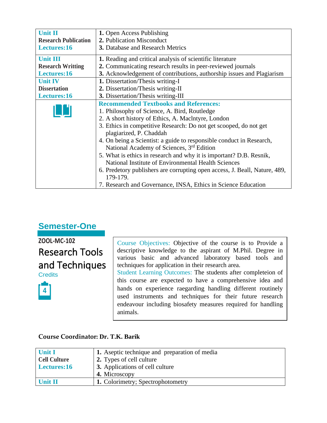| <b>Unit II</b>              | 1. Open Access Publishing                                                  |  |
|-----------------------------|----------------------------------------------------------------------------|--|
| <b>Research Publication</b> | 2. Publication Misconduct                                                  |  |
| Lectures:16                 | 3. Database and Research Metrics                                           |  |
| <b>Unit III</b>             | 1. Reading and critical analysis of scientific literature                  |  |
| <b>Research Writting</b>    | 2. Communicating research results in peer-reviewed journals                |  |
| Lectures:16                 | 3. Acknowledgement of contributions, authorship issues and Plagiarism      |  |
| <b>Unit IV</b>              | 1. Dissertation/Thesis writing-I                                           |  |
| <b>Dissertation</b>         | 2. Dissertation/Thesis writing-II                                          |  |
| Lectures:16                 | 3. Dissertation/Thesis writing-III                                         |  |
|                             | <b>Recommended Textbooks and References:</b>                               |  |
|                             | 1. Philosophy of Science, A. Bird, Routledge                               |  |
|                             | 2. A short history of Ethics, A. MacIntyre, London                         |  |
|                             | 3. Ethics in competitive Research: Do not get scooped, do not get          |  |
|                             | plagiarized, P. Chaddah                                                    |  |
|                             | 4. On being a Scientist: a guide to responsible conduct in Research,       |  |
|                             | National Academy of Sciences, 3 <sup>rd</sup> Edition                      |  |
|                             | 5. What is ethics in research and why it is important? D.B. Resnik,        |  |
|                             | National Institute of Environmental Health Sciences                        |  |
|                             | 6. Predetory publishers are corrupting open access, J. Beall, Nature, 489, |  |
|                             | 179-179.                                                                   |  |
|                             | 7. Research and Governance, INSA, Ethics in Science Education              |  |

**ZOOL-MC-102** Research Tools and Techniques **Credits** 



Course Objectives: Objective of the course is to Provide a descriptive knowledge to the aspirant of M.Phil. Degree in various basic and advanced laboratory based tools and techniques for application in their research area. Student Learning Outcomes: The students after completeion of this course are expected to have a comprehensive idea and hands on experience raegarding handling different routinely used instruments and techniques for their future research endeavour including biosafety measures required for handling animals.

#### **Course Coordinator: Dr. T.K. Barik**

| Unit I       | 1. Aseptic technique and preparation of media |
|--------------|-----------------------------------------------|
| Cell Culture | 2. Types of cell culture                      |
| Lectures:16  | 3. Applications of cell culture               |
|              | 4. Microscopy                                 |
| Unit II      | 1. Colorimetry; Spectrophotometry             |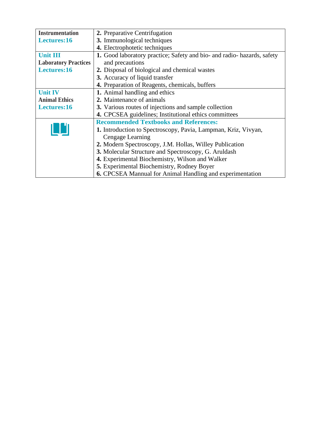| <b>Instrumentation</b>      | 2. Preparative Centrifugation                                           |  |
|-----------------------------|-------------------------------------------------------------------------|--|
| Lectures:16                 | 3. Immunological techniques                                             |  |
|                             | 4. Electrophotetic techniques                                           |  |
| <b>Unit III</b>             | 1. Good laboratory practice; Safety and bio- and radio- hazards, safety |  |
| <b>Laboratory Practices</b> | and precautions                                                         |  |
| Lectures:16                 | 2. Disposal of biological and chemical wastes                           |  |
|                             | 3. Accuracy of liquid transfer                                          |  |
|                             | 4. Preparation of Reagents, chemicals, buffers                          |  |
| <b>Unit IV</b>              | 1. Animal handling and ethics                                           |  |
| <b>Animal Ethics</b>        | 2. Maintenance of animals                                               |  |
| Lectures:16                 | 3. Various routes of injections and sample collection                   |  |
|                             | 4. CPCSEA guidelines; Institutional ethics committees                   |  |
|                             | <b>Recommended Textbooks and References:</b>                            |  |
|                             | <b>1.</b> Introduction to Spectroscopy, Pavia, Lampman, Kriz, Vivyan,   |  |
|                             | Cengage Learning                                                        |  |
|                             | 2. Modern Spectroscopy, J.M. Hollas, Willey Publication                 |  |
|                             | 3. Molecular Structure and Spectroscopy, G. Aruldash                    |  |
|                             | 4. Experimental Biochemistry, Wilson and Walker                         |  |
|                             | 5. Experimental Biochemistry, Rodney Boyer                              |  |
|                             | 6. CPCSEA Mannual for Animal Handling and experimentation               |  |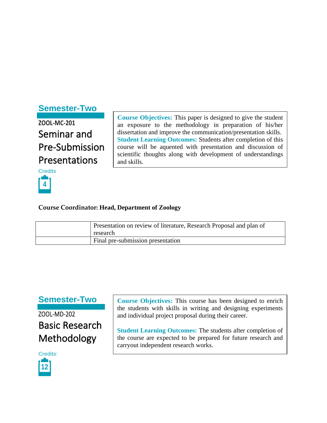## **Semester-Two**

**ZOOL-MC-201** Seminar and Pre-Submission Presentations

**Credits** 



**Course Objectives:** This paper is designed to give the student an exposure to the methodology in preparation of his/her dissertation and improve the communication/presentation skills. **Student Learning Outcomes:** Students after completion of this course will be aquented with presentation and discussion of scientific thoughts along with development of understandings and skills.

#### **Course Coordinator: Head, Department of Zoology**

| Presentation on review of literature, Research Proposal and plan of<br>research |
|---------------------------------------------------------------------------------|
| Final pre-submission presentation                                               |

### **Semester-Two**

ZOOL-MD-202 Basic Research Methodology



**Course Objectives:** This course has been designed to enrich the students with skills in writing and designing experiments and individual project proposal during their career.

**Student Learning Outcomes:** The students after completion of the course are expected to be prepared for future research and carryout independent research works.